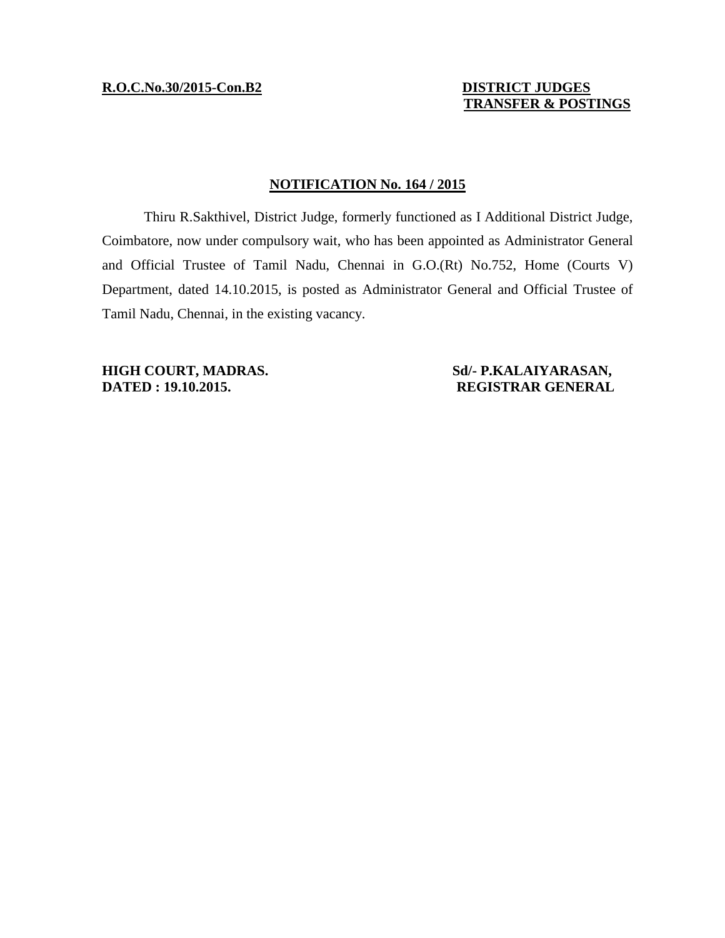## **TRANSFER & POSTINGS**

## **NOTIFICATION No. 164 / 2015**

Thiru R.Sakthivel, District Judge, formerly functioned as I Additional District Judge, Coimbatore, now under compulsory wait, who has been appointed as Administrator General and Official Trustee of Tamil Nadu, Chennai in G.O.(Rt) No.752, Home (Courts V) Department, dated 14.10.2015, is posted as Administrator General and Official Trustee of Tamil Nadu, Chennai, in the existing vacancy.

**HIGH COURT, MADRAS.** Sd/- P.KALAIYARASAN,<br>DATED : 19.10.2015. REGISTRAR GENERAL

**DATED : 19.10.2015. REGISTRAR GENERAL**